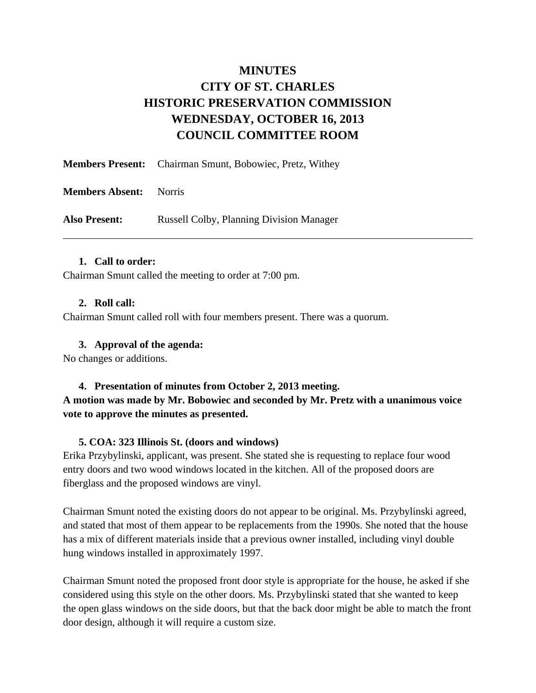# **MINUTES CITY OF ST. CHARLES HISTORIC PRESERVATION COMMISSION WEDNESDAY, OCTOBER 16, 2013 COUNCIL COMMITTEE ROOM**

|                        | <b>Members Present:</b> Chairman Smunt, Bobowiec, Pretz, Withey |
|------------------------|-----------------------------------------------------------------|
| <b>Members Absent:</b> | Norris                                                          |
| <b>Also Present:</b>   | <b>Russell Colby, Planning Division Manager</b>                 |

#### **1. Call to order:**

Chairman Smunt called the meeting to order at 7:00 pm.

#### **2. Roll call:**

Chairman Smunt called roll with four members present. There was a quorum.

#### **3. Approval of the agenda:**

No changes or additions.

### **4. Presentation of minutes from October 2, 2013 meeting. A motion was made by Mr. Bobowiec and seconded by Mr. Pretz with a unanimous voice vote to approve the minutes as presented.**

### **5. COA: 323 Illinois St. (doors and windows)**

Erika Przybylinski, applicant, was present. She stated she is requesting to replace four wood entry doors and two wood windows located in the kitchen. All of the proposed doors are fiberglass and the proposed windows are vinyl.

Chairman Smunt noted the existing doors do not appear to be original. Ms. Przybylinski agreed, and stated that most of them appear to be replacements from the 1990s. She noted that the house has a mix of different materials inside that a previous owner installed, including vinyl double hung windows installed in approximately 1997.

Chairman Smunt noted the proposed front door style is appropriate for the house, he asked if she considered using this style on the other doors. Ms. Przybylinski stated that she wanted to keep the open glass windows on the side doors, but that the back door might be able to match the front door design, although it will require a custom size.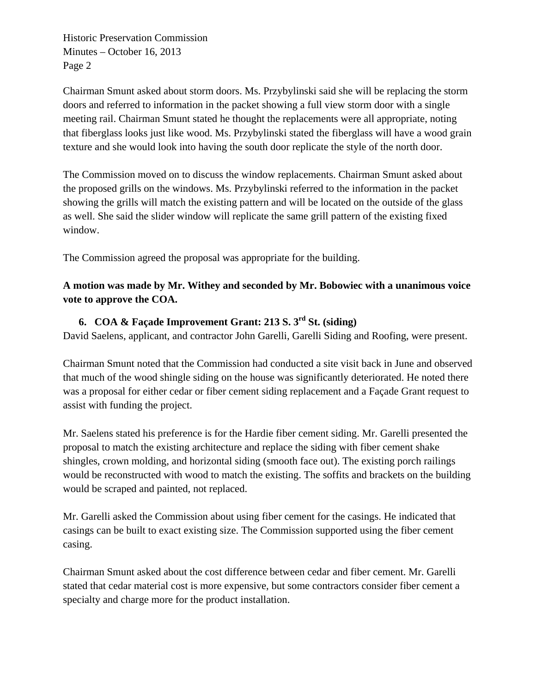Historic Preservation Commission Minutes – October 16, 2013 Page 2

Chairman Smunt asked about storm doors. Ms. Przybylinski said she will be replacing the storm doors and referred to information in the packet showing a full view storm door with a single meeting rail. Chairman Smunt stated he thought the replacements were all appropriate, noting that fiberglass looks just like wood. Ms. Przybylinski stated the fiberglass will have a wood grain texture and she would look into having the south door replicate the style of the north door.

The Commission moved on to discuss the window replacements. Chairman Smunt asked about the proposed grills on the windows. Ms. Przybylinski referred to the information in the packet showing the grills will match the existing pattern and will be located on the outside of the glass as well. She said the slider window will replicate the same grill pattern of the existing fixed window.

The Commission agreed the proposal was appropriate for the building.

# **A motion was made by Mr. Withey and seconded by Mr. Bobowiec with a unanimous voice vote to approve the COA.**

# **6. COA & Façade Improvement Grant: 213 S. 3rd St. (siding)**

David Saelens, applicant, and contractor John Garelli, Garelli Siding and Roofing, were present.

Chairman Smunt noted that the Commission had conducted a site visit back in June and observed that much of the wood shingle siding on the house was significantly deteriorated. He noted there was a proposal for either cedar or fiber cement siding replacement and a Façade Grant request to assist with funding the project.

Mr. Saelens stated his preference is for the Hardie fiber cement siding. Mr. Garelli presented the proposal to match the existing architecture and replace the siding with fiber cement shake shingles, crown molding, and horizontal siding (smooth face out). The existing porch railings would be reconstructed with wood to match the existing. The soffits and brackets on the building would be scraped and painted, not replaced.

Mr. Garelli asked the Commission about using fiber cement for the casings. He indicated that casings can be built to exact existing size. The Commission supported using the fiber cement casing.

Chairman Smunt asked about the cost difference between cedar and fiber cement. Mr. Garelli stated that cedar material cost is more expensive, but some contractors consider fiber cement a specialty and charge more for the product installation.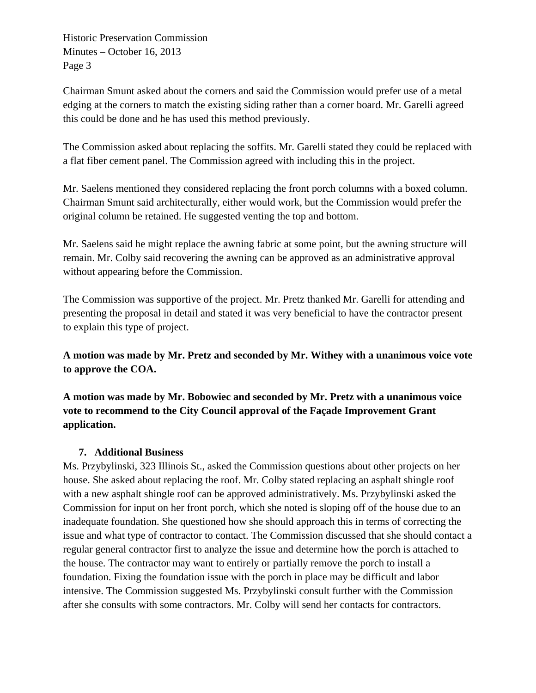Historic Preservation Commission Minutes – October 16, 2013 Page 3

Chairman Smunt asked about the corners and said the Commission would prefer use of a metal edging at the corners to match the existing siding rather than a corner board. Mr. Garelli agreed this could be done and he has used this method previously.

The Commission asked about replacing the soffits. Mr. Garelli stated they could be replaced with a flat fiber cement panel. The Commission agreed with including this in the project.

Mr. Saelens mentioned they considered replacing the front porch columns with a boxed column. Chairman Smunt said architecturally, either would work, but the Commission would prefer the original column be retained. He suggested venting the top and bottom.

Mr. Saelens said he might replace the awning fabric at some point, but the awning structure will remain. Mr. Colby said recovering the awning can be approved as an administrative approval without appearing before the Commission.

The Commission was supportive of the project. Mr. Pretz thanked Mr. Garelli for attending and presenting the proposal in detail and stated it was very beneficial to have the contractor present to explain this type of project.

**A motion was made by Mr. Pretz and seconded by Mr. Withey with a unanimous voice vote to approve the COA.** 

**A motion was made by Mr. Bobowiec and seconded by Mr. Pretz with a unanimous voice vote to recommend to the City Council approval of the Façade Improvement Grant application.** 

### **7. Additional Business**

Ms. Przybylinski, 323 Illinois St., asked the Commission questions about other projects on her house. She asked about replacing the roof. Mr. Colby stated replacing an asphalt shingle roof with a new asphalt shingle roof can be approved administratively. Ms. Przybylinski asked the Commission for input on her front porch, which she noted is sloping off of the house due to an inadequate foundation. She questioned how she should approach this in terms of correcting the issue and what type of contractor to contact. The Commission discussed that she should contact a regular general contractor first to analyze the issue and determine how the porch is attached to the house. The contractor may want to entirely or partially remove the porch to install a foundation. Fixing the foundation issue with the porch in place may be difficult and labor intensive. The Commission suggested Ms. Przybylinski consult further with the Commission after she consults with some contractors. Mr. Colby will send her contacts for contractors.